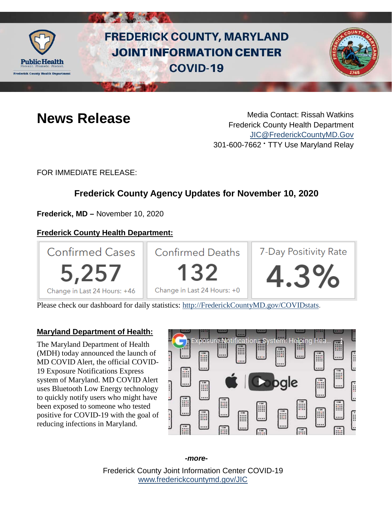

# **FREDERICK COUNTY, MARYLAND JOINT INFORMATION CENTER COVID-19**



**News Release** Media Contact: Rissah Watkins Frederick County Health Department [JIC@FrederickCountyMD.Gov](mailto:JIC@FrederickCountyMD.Gov) 301-600-7662 • TTY Use Maryland Relay

FOR IMMEDIATE RELEASE:

# **Frederick County Agency Updates for November 10, 2020**

**Frederick, MD –** November 10, 2020

# **Frederick County Health Department:**



Please check our dashboard for daily statistics: [http://FrederickCountyMD.gov/COVIDstats.](http://frederickcountymd.gov/COVIDstats)

#### **Maryland Department of Health:**

The Maryland Department of Health (MDH) today announced the launch of MD COVID Alert, the official COVID-19 Exposure Notifications Express system of Maryland. MD COVID Alert uses Bluetooth Low Energy technology to quickly notify users who might have been exposed to someone who tested positive for COVID-19 with the goal of reducing infections in Maryland.



#### *-more-*

Frederick County Joint Information Center COVID-19 [www.frederickcountymd.gov/JIC](https://frederickcountymd.gov/JIC)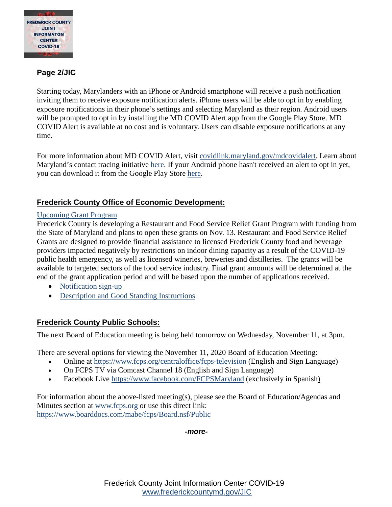

### **Page 2/JIC**

Starting today, Marylanders with an iPhone or Android smartphone will receive a push notification inviting them to receive exposure notification alerts. iPhone users will be able to opt in by enabling exposure notifications in their phone's settings and selecting Maryland as their region. Android users will be prompted to opt in by installing the MD COVID Alert app from the Google Play Store. MD COVID Alert is available at no cost and is voluntary. Users can disable exposure notifications at any time.

For more information about MD COVID Alert, visit [covidlink.maryland.gov/mdcovidalert.](https://covidlink.maryland.gov/content/mdcovidalert/) Learn about Maryland's contact tracing initiative [here.](https://covidlink.maryland.gov/content/answer-the-call/) If your Android phone hasn't received an alert to opt in yet, you can download it from the Google Play Store [here.](https://play.google.com/store/apps/details?id=gov.md.covid19.exposurenotifications)

# **Frederick County Office of Economic Development:**

#### [Upcoming Grant Program](https://frederickcountymd.gov/8155/Jump-Start-Frederick-County-Business-Gra)

Frederick County is developing a Restaurant and Food Service Relief Grant Program with funding from the State of Maryland and plans to open these grants on Nov. 13. Restaurant and Food Service Relief Grants are designed to provide financial assistance to licensed Frederick County food and beverage providers impacted negatively by restrictions on indoor dining capacity as a result of the COVID-19 public health emergency, as well as licensed wineries, breweries and distilleries. The grants will be available to targeted sectors of the food service industry. Final grant amounts will be determined at the end of the grant application period and will be based upon the number of applications received.

- [Notification sign-up](https://www.frederickcountymd.gov/FormCenter/County-Executive-34/Frederick-County-Jump-Start-Grants-Notif-254)
- [Description and Good Standing Instructions](https://frederickcountymd.gov/DocumentCenter/View/329928/Description-and-Good-Standing-instructions)

#### **Frederick County Public Schools:**

The next Board of Education meeting is being held tomorrow on Wednesday, November 11, at 3pm.

There are several options for viewing the November 11, 2020 Board of Education Meeting:

- Online at [https://www.fcps.org/centraloffice/fcps-television](https://urldefense.com/v3/__https:/www.fcps.org/centraloffice/fcps-television__;!!I2-OFBIJoQBJqqeup9g!SkAAJ5MMXukT8f3JKC_ik-dAVg3oqqEGMImEREWGziLT_yGNAS4agBs9kRdEbWvwBNdmc6giDfU$) (English and Sign Language)
- On FCPS TV via Comcast Channel 18 (English and Sign Language)
- Facebook Live [https://www.facebook.com/FCPSMaryland](https://urldefense.com/v3/__https:/www.facebook.com/FCPSMaryland__;!!I2-OFBIJoQBJqqeup9g!SkAAJ5MMXukT8f3JKC_ik-dAVg3oqqEGMImEREWGziLT_yGNAS4agBs9kRdEbWvwBNdm-rFeM3k$) (exclusively in Spanish)

For information about the above-listed meeting(s), please see the Board of Education/Agendas and Minutes section at [www.fcps.org](https://urldefense.com/v3/__http:/www.fcps.org__;!!I2-OFBIJoQBJqqeup9g!SkAAJ5MMXukT8f3JKC_ik-dAVg3oqqEGMImEREWGziLT_yGNAS4agBs9kRdEbWvwBNdmN0FaZDA$) or use this direct link: [https://www.boarddocs.com/mabe/fcps/Board.nsf/Public](https://urldefense.com/v3/__https:/www.boarddocs.com/mabe/fcps/Board.nsf/Public__;!!I2-OFBIJoQBJqqeup9g!SkAAJ5MMXukT8f3JKC_ik-dAVg3oqqEGMImEREWGziLT_yGNAS4agBs9kRdEbWvwBNdmZ0oLMd0$)

#### *-more-*